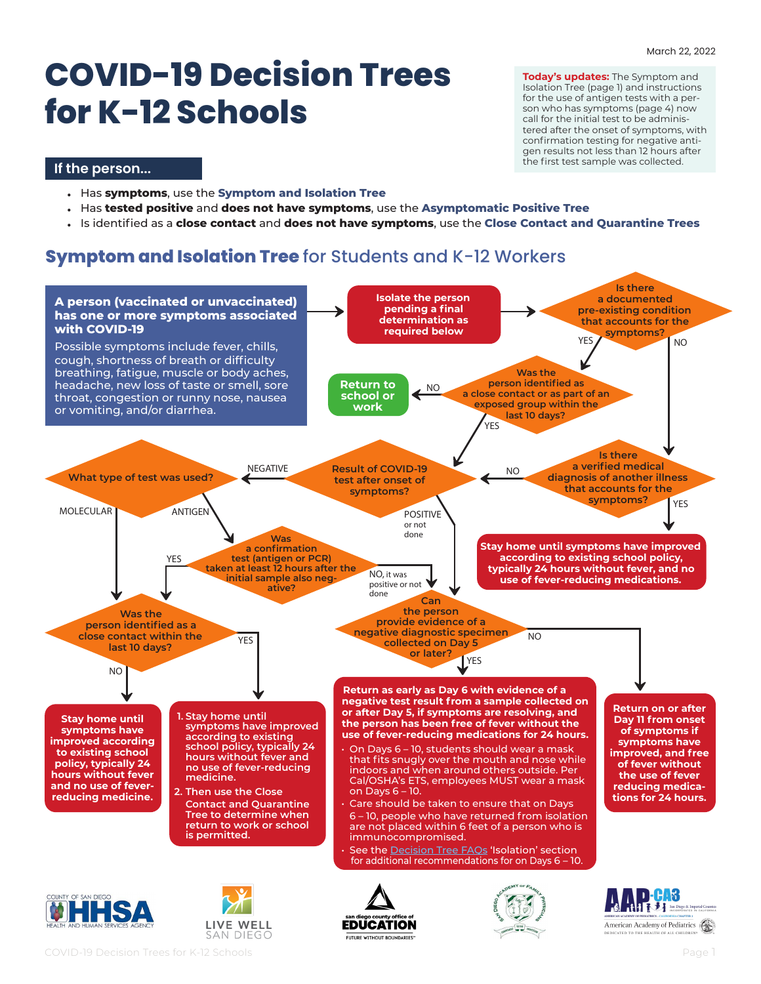# **COVID-19 Decision Trees for K-12 Schools**

**Today's updates:** The Symptom and Isolation Tree (page 1) and instructions for the use of antigen tests with a person who has symptoms (page 4) now call for the initial test to be administered after the onset of symptoms, with confirmation testing for negative antigen results not less than 12 hours after the first test sample was collected.

#### **If the person...**

- Has **symptoms**, use the **Symptom and Isolation Tree**
- Has **tested positive** and **does not have symptoms**, use the **Asymptomatic Positive Tree**
- Is identified as a **close contact** and **does not have symptoms**, use the **Close Contact and Quarantine Trees**

# **Symptom and Isolation Tree** for Students and K-12 Workers

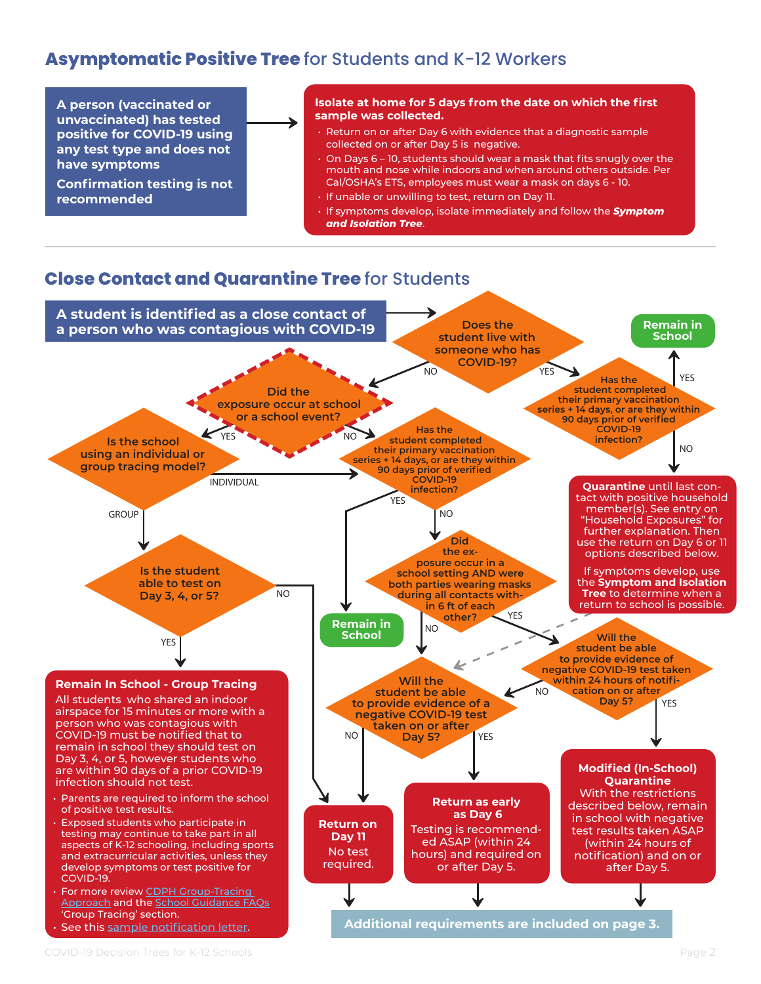# **Asymptomatic Positive Tree** for Students and K-12 Workers

**A person (vaccinated or unvaccinated) has tested positive for COVID-19 using any test type and does not have symptoms**

**Confirmation testing is not recommended**

#### **Isolate at home for 5 days from the date on which the first sample was collected.**

- Return on or after Day 6 with evidence that a diagnostic sample collected on or after Day 5 is negative.
- On Days 6 10, students should wear a mask that fits snugly over the mouth and nose while indoors and when around others outside. Per Cal/OSHA's ETS, employees must wear a mask on days 6 - 10.
- If unable or unwilling to test, return on Day 11.
- If symptoms develop, isolate immediately and follow the *Symptom and Isolation Tree*.

## **Close Contact and Quarantine Tree** for Students

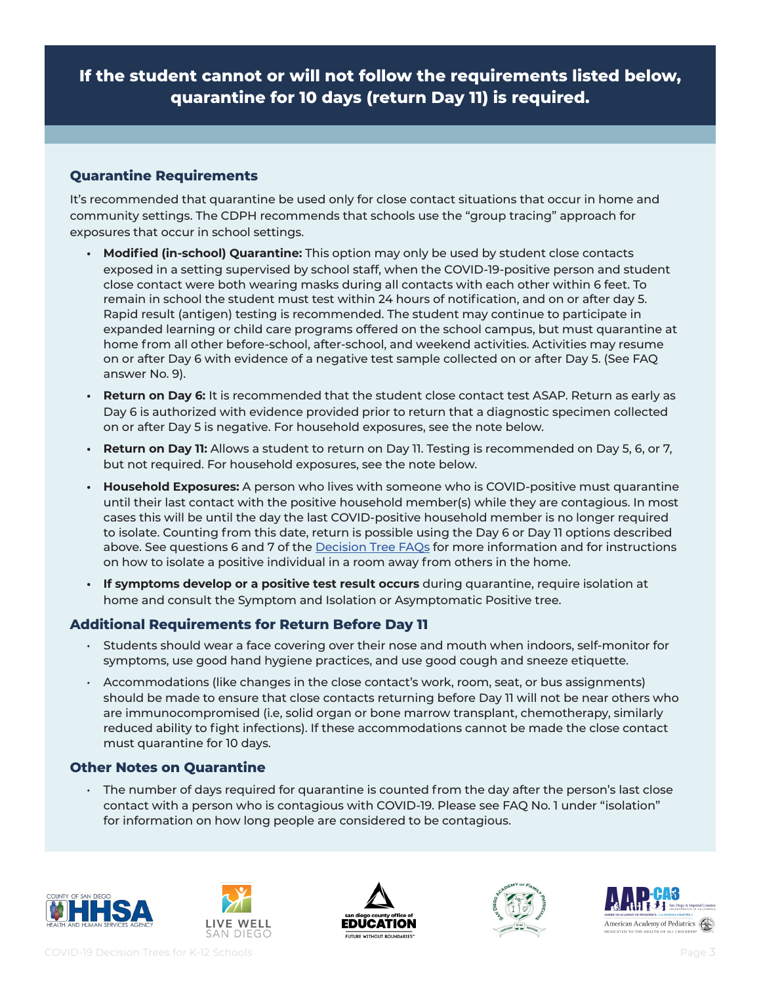**If the student cannot or will not follow the requirements listed below, quarantine for 10 days (return Day 11) is required.**

#### **Quarantine Requirements**

It's recommended that quarantine be used only for close contact situations that occur in home and community settings. The CDPH recommends that schools use the "group tracing" approach for exposures that occur in school settings.

- **• Modified (in-school) Quarantine:** This option may only be used by student close contacts exposed in a setting supervised by school staff, when the COVID-19-positive person and student close contact were both wearing masks during all contacts with each other within 6 feet. To remain in school the student must test within 24 hours of notification, and on or after day 5. Rapid result (antigen) testing is recommended. The student may continue to participate in expanded learning or child care programs offered on the school campus, but must quarantine at home from all other before-school, after-school, and weekend activities. Activities may resume on or after Day 6 with evidence of a negative test sample collected on or after Day 5. (See FAQ answer No. 9).
- **• Return on Day 6:** It is recommended that the student close contact test ASAP. Return as early as Day 6 is authorized with evidence provided prior to return that a diagnostic specimen collected on or after Day 5 is negative. For household exposures, see the note below.
- **• Return on Day 11:** Allows a student to return on Day 11. Testing is recommended on Day 5, 6, or 7, but not required. For household exposures, see the note below.
- **• Household Exposures:** A person who lives with someone who is COVID-positive must quarantine until their last contact with the positive household member(s) while they are contagious. In most cases this will be until the day the last COVID-positive household member is no longer required to isolate. Counting from this date, return is possible using the Day 6 or Day 11 options described above. See questions 6 and 7 of the **Decision Tree FAQs** for more information and for instructions on how to isolate a positive individual in a room away from others in the home.
- **• If symptoms develop or a positive test result occurs** during quarantine, require isolation at home and consult the Symptom and Isolation or Asymptomatic Positive tree.

### **Additional Requirements for Return Before Day 11**

- Students should wear a face covering over their nose and mouth when indoors, self-monitor for symptoms, use good hand hygiene practices, and use good cough and sneeze etiquette.
- Accommodations (like changes in the close contact's work, room, seat, or bus assignments) should be made to ensure that close contacts returning before Day 11 will not be near others who are immunocompromised (i.e, solid organ or bone marrow transplant, chemotherapy, similarly reduced ability to fight infections). If these accommodations cannot be made the close contact must quarantine for 10 days.

### **Other Notes on Quarantine**

 $\cdot$  The number of days required for quarantine is counted from the day after the person's last close contact with a person who is contagious with COVID-19. Please see FAQ No. 1 under "isolation" for information on how long people are considered to be contagious.